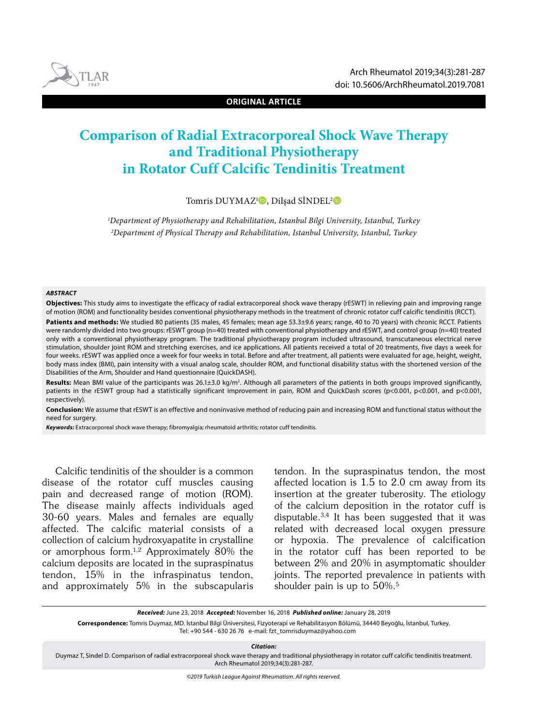



**ORIGINAL ARTICLE**

# **Comparison of Radial Extracorporeal Shock Wave Therapy and Traditional Physiotherapy in Rotator Cuff Calcific Tendinitis Treatment**

Tomris DUYMAZ<sup>ı</sup> D, Dilşad SİNDEL<sup>2</sup> D

*1 Department of Physiotherapy and Rehabilitation, Istanbul Bilgi University, Istanbul, Turkey 2 Department of Physical Therapy and Rehabilitation, Istanbul University, Istanbul, Turkey*

#### *ABSTRACT*

**Objectives:** This study aims to investigate the efficacy of radial extracorporeal shock wave therapy (rESWT) in relieving pain and improving range of motion (ROM) and functionality besides conventional physiotherapy methods in the treatment of chronic rotator cuff calcific tendinitis (RCCT).

Patients and methods: We studied 80 patients (35 males, 45 females; mean age 53.3±9.6 years; range, 40 to 70 years) with chronic RCCT. Patients were randomly divided into two groups: rESWT group (n=40) treated with conventional physiotherapy and rESWT, and control group (n=40) treated only with a conventional physiotherapy program. The traditional physiotherapy program included ultrasound, transcutaneous electrical nerve stimulation, shoulder joint ROM and stretching exercises, and ice applications. All patients received a total of 20 treatments, five days a week for four weeks. rESWT was applied once a week for four weeks in total. Before and after treatment, all patients were evaluated for age, height, weight, body mass index (BMI), pain intensity with a visual analog scale, shoulder ROM, and functional disability status with the shortened version of the Disabilities of the Arm, Shoulder and Hand questionnaire (QuickDASH).

Results: Mean BMI value of the participants was 26.1±3.0 kg/m<sup>2</sup>. Although all parameters of the patients in both groups improved significantly, patients in the rESWT group had a statistically significant improvement in pain, ROM and QuickDash scores (p<0.001, p<0.001, and p<0.001, respectively).

**Conclusion:** We assume that rESWT is an effective and noninvasive method of reducing pain and increasing ROM and functional status without the need for surgery.

*Keywords:* Extracorporeal shock wave therapy; fibromyalgia; rheumatoid arthritis; rotator cuff tendinitis.

Calcific tendinitis of the shoulder is a common disease of the rotator cuff muscles causing pain and decreased range of motion (ROM). The disease mainly affects individuals aged 30-60 years. Males and females are equally affected. The calcific material consists of a collection of calcium hydroxyapatite in crystalline or amorphous form.<sup>1,2</sup> Approximately 80% the calcium deposits are located in the supraspinatus tendon, 15% in the infraspinatus tendon, and approximately 5% in the subscapularis

tendon. In the supraspinatus tendon, the most affected location is 1.5 to 2.0 cm away from its insertion at the greater tuberosity. The etiology of the calcium deposition in the rotator cuff is disputable.3,4 It has been suggested that it was related with decreased local oxygen pressure or hypoxia. The prevalence of calcification in the rotator cuff has been reported to be between 2% and 20% in asymptomatic shoulder joints. The reported prevalence in patients with shoulder pain is up to 50%.5

*Received:* June 23, 2018 *Accepted:* November 16, 2018 *Published online:* January 28, 2019

**Correspondence:** Tomris Duymaz, MD. İstanbul Bilgi Üniversitesi, Fizyoterapi ve Rehabilitasyon Bölümü, 34440 Beyoğlu, İstanbul, Turkey. Tel: +90 544 - 630 26 76 e-mail: fzt\_tomrisduymaz@yahoo.com

*Citation:*

Duymaz T, Sindel D. Comparison of radial extracorporeal shock wave therapy and traditional physiotherapy in rotator cuff calcific tendinitis treatment. Arch Rheumatol 2019;34(3):281-287.

*©2019 Turkish League Against Rheumatism. All rights reserved.*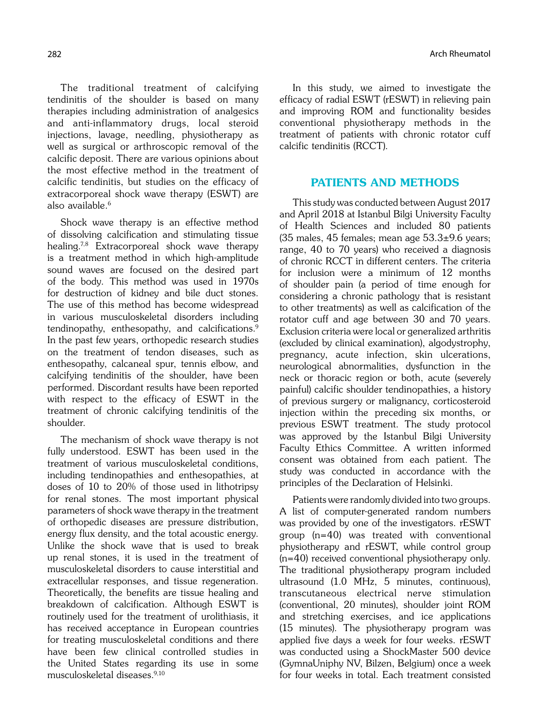The traditional treatment of calcifying tendinitis of the shoulder is based on many therapies including administration of analgesics and anti-inflammatory drugs, local steroid injections, lavage, needling, physiotherapy as well as surgical or arthroscopic removal of the calcific deposit. There are various opinions about the most effective method in the treatment of calcific tendinitis, but studies on the efficacy of extracorporeal shock wave therapy (ESWT) are also available.<sup>6</sup>

Shock wave therapy is an effective method of dissolving calcification and stimulating tissue healing.7,8 Extracorporeal shock wave therapy is a treatment method in which high-amplitude sound waves are focused on the desired part of the body. This method was used in 1970s for destruction of kidney and bile duct stones. The use of this method has become widespread in various musculoskeletal disorders including tendinopathy, enthesopathy, and calcifications.<sup>9</sup> In the past few years, orthopedic research studies on the treatment of tendon diseases, such as enthesopathy, calcaneal spur, tennis elbow, and calcifying tendinitis of the shoulder, have been performed. Discordant results have been reported with respect to the efficacy of ESWT in the treatment of chronic calcifying tendinitis of the shoulder.

The mechanism of shock wave therapy is not fully understood. ESWT has been used in the treatment of various musculoskeletal conditions, including tendinopathies and enthesopathies, at doses of 10 to 20% of those used in lithotripsy for renal stones. The most important physical parameters of shock wave therapy in the treatment of orthopedic diseases are pressure distribution, energy flux density, and the total acoustic energy. Unlike the shock wave that is used to break up renal stones, it is used in the treatment of musculoskeletal disorders to cause interstitial and extracellular responses, and tissue regeneration. Theoretically, the benefits are tissue healing and breakdown of calcification. Although ESWT is routinely used for the treatment of urolithiasis, it has received acceptance in European countries for treating musculoskeletal conditions and there have been few clinical controlled studies in the United States regarding its use in some musculoskeletal diseases.9,10

In this study, we aimed to investigate the efficacy of radial ESWT (rESWT) in relieving pain and improving ROM and functionality besides conventional physiotherapy methods in the treatment of patients with chronic rotator cuff calcific tendinitis (RCCT).

# PATIENTS AND METHODS

This study was conducted between August 2017 and April 2018 at Istanbul Bilgi University Faculty of Health Sciences and included 80 patients (35 males, 45 females; mean age  $53.3\pm9.6$  years; range, 40 to 70 years) who received a diagnosis of chronic RCCT in different centers. The criteria for inclusion were a minimum of 12 months of shoulder pain (a period of time enough for considering a chronic pathology that is resistant to other treatments) as well as calcification of the rotator cuff and age between 30 and 70 years. Exclusion criteria were local or generalized arthritis (excluded by clinical examination), algodystrophy, pregnancy, acute infection, skin ulcerations, neurological abnormalities, dysfunction in the neck or thoracic region or both, acute (severely painful) calcific shoulder tendinopathies, a history of previous surgery or malignancy, corticosteroid injection within the preceding six months, or previous ESWT treatment. The study protocol was approved by the Istanbul Bilgi University Faculty Ethics Committee. A written informed consent was obtained from each patient. The study was conducted in accordance with the principles of the Declaration of Helsinki.

Patients were randomly divided into two groups. A list of computer-generated random numbers was provided by one of the investigators. rESWT group (n=40) was treated with conventional physiotherapy and rESWT, while control group (n=40) received conventional physiotherapy only. The traditional physiotherapy program included ultrasound (1.0 MHz, 5 minutes, continuous), transcutaneous electrical nerve stimulation (conventional, 20 minutes), shoulder joint ROM and stretching exercises, and ice applications (15 minutes). The physiotherapy program was applied five days a week for four weeks. rESWT was conducted using a ShockMaster 500 device (GymnaUniphy NV, Bilzen, Belgium) once a week for four weeks in total. Each treatment consisted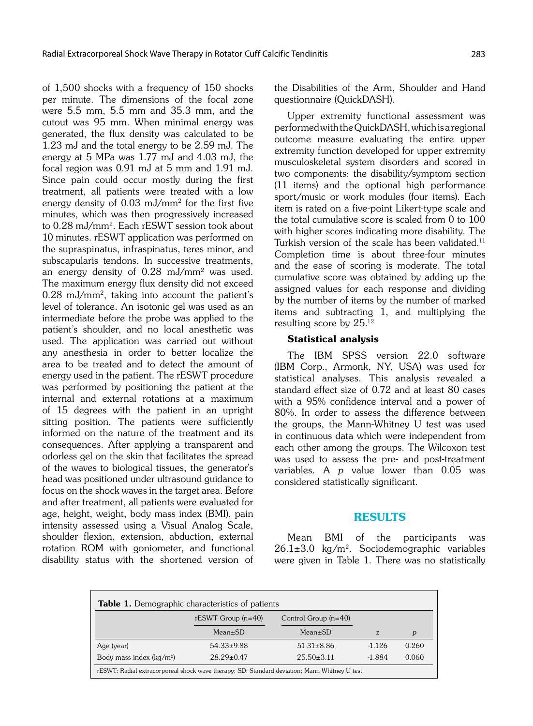of 1,500 shocks with a frequency of 150 shocks per minute. The dimensions of the focal zone were 5.5 mm, 5.5 mm and 35.3 mm, and the cutout was 95 mm. When minimal energy was generated, the flux density was calculated to be 1.23 mJ and the total energy to be 2.59 mJ. The energy at 5 MPa was 1.77 mJ and 4.03 mJ, the focal region was 0.91 mJ at 5 mm and 1.91 mJ. Since pain could occur mostly during the first treatment, all patients were treated with a low energy density of 0.03 mJ/mm2 for the first five minutes, which was then progressively increased to 0.28 mJ/mm2. Each rESWT session took about 10 minutes. rESWT application was performed on the supraspinatus, infraspinatus, teres minor, and subscapularis tendons. In successive treatments, an energy density of 0.28 mJ/mm2 was used. The maximum energy flux density did not exceed 0.28 mJ/mm2, taking into account the patient's level of tolerance. An isotonic gel was used as an intermediate before the probe was applied to the patient's shoulder, and no local anesthetic was used. The application was carried out without any anesthesia in order to better localize the area to be treated and to detect the amount of energy used in the patient. The rESWT procedure was performed by positioning the patient at the internal and external rotations at a maximum of 15 degrees with the patient in an upright sitting position. The patients were sufficiently informed on the nature of the treatment and its consequences. After applying a transparent and odorless gel on the skin that facilitates the spread of the waves to biological tissues, the generator's head was positioned under ultrasound guidance to focus on the shock waves in the target area. Before and after treatment, all patients were evaluated for age, height, weight, body mass index (BMI), pain intensity assessed using a Visual Analog Scale, shoulder flexion, extension, abduction, external rotation ROM with goniometer, and functional disability status with the shortened version of the Disabilities of the Arm, Shoulder and Hand questionnaire (QuickDASH).

Upper extremity functional assessment was performed with the QuickDASH, which is a regional outcome measure evaluating the entire upper extremity function developed for upper extremity musculoskeletal system disorders and scored in two components: the disability/symptom section (11 items) and the optional high performance sport/music or work modules (four items). Each item is rated on a five-point Likert-type scale and the total cumulative score is scaled from 0 to 100 with higher scores indicating more disability. The Turkish version of the scale has been validated.<sup>11</sup> Completion time is about three-four minutes and the ease of scoring is moderate. The total cumulative score was obtained by adding up the assigned values for each response and dividing by the number of items by the number of marked items and subtracting 1, and multiplying the resulting score by 25.12

### Statistical analysis

The IBM SPSS version 22.0 software (IBM Corp., Armonk, NY, USA) was used for statistical analyses. This analysis revealed a standard effect size of 0.72 and at least 80 cases with a 95% confidence interval and a power of 80%. In order to assess the difference between the groups, the Mann-Whitney U test was used in continuous data which were independent from each other among the groups. The Wilcoxon test was used to assess the pre- and post-treatment variables. A  $p$  value lower than  $0.05$  was considered statistically significant.

# RESULTS

Mean BMI of the participants was  $26.1\pm3.0$  kg/m<sup>2</sup>. Sociodemographic variables were given in Table 1. There was no statistically

| <b>Table 1.</b> Demographic characteristics of patients | rESWT Group $(n=40)$ | Control Group $(n=40)$ |          |                  |
|---------------------------------------------------------|----------------------|------------------------|----------|------------------|
|                                                         | $Mean \pm SD$        | $Mean \pm SD$          | z        | $\boldsymbol{p}$ |
| Age (year)                                              | $54.33 \pm 9.88$     | $51.31 \pm 8.86$       | $-1.126$ | 0.260            |
| Body mass index $(kq/m2)$                               | $28.29 \pm 0.47$     | $25.50 \pm 3.11$       | $-1.884$ | 0.060            |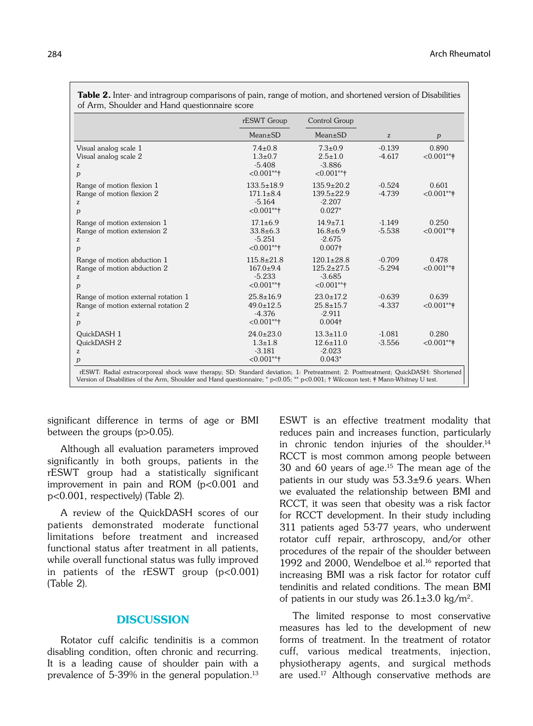|                                                                                      | rESWT Group<br>Mean±SD                                           | Control Group<br>Mean±SD                                          | z                    | p                   |
|--------------------------------------------------------------------------------------|------------------------------------------------------------------|-------------------------------------------------------------------|----------------------|---------------------|
|                                                                                      |                                                                  |                                                                   |                      |                     |
| Visual analog scale 1<br>Visual analog scale 2<br>z<br>p                             | $7.4 \pm 0.8$<br>$1.3 \pm 0.7$<br>$-5.408$<br>$<0.001**$         | $7.3 \pm 0.9$<br>$2.5 \pm 1.0$<br>$-3.886$<br>$< 0.001$ **†       | $-0.139$<br>$-4.617$ | 0.890<br>$<0.001**$ |
| Range of motion flexion 1<br>Range of motion flexion 2<br>z<br>p                     | $133.5 \pm 18.9$<br>$171.1 \pm 8.4$<br>$-5.164$<br>$< 0.001$ **† | $135.9 \pm 20.2$<br>$139.5 \pm 22.9$<br>$-2.207$<br>$0.027*$      | $-0.524$<br>$-4.739$ | 0.601<br>$<0.001**$ |
| Range of motion extension 1<br>Range of motion extension 2<br>z<br>p                 | $17.1 \pm 6.9$<br>$33.8 \pm 6.3$<br>$-5.251$<br>$< 0.001$ **†    | $14.9 \pm 7.1$<br>$16.8 + 6.9$<br>$-2.675$<br>$0.007+$            | $-1.149$<br>$-5.538$ | 0.250<br>$<0.001**$ |
| Range of motion abduction 1<br>Range of motion abduction 2<br>z<br>p                 | $115.8 \pm 21.8$<br>$167.0 \pm 9.4$<br>$-5.233$<br>$< 0.001$ **† | $120.1 \pm 28.8$<br>$125.2 \pm 27.5$<br>$-3.685$<br>$< 0.001$ **† | $-0.709$<br>$-5.294$ | 0.478<br>$<0.001**$ |
| Range of motion external rotation 1<br>Range of motion external rotation 2<br>z<br>p | $25.8 \pm 16.9$<br>$49.0 \pm 12.5$<br>$-4.376$<br>$< 0.001$ **†  | $23.0 \pm 17.2$<br>$25.8 + 15.7$<br>$-2.911$<br>$0.004+$          | $-0.639$<br>$-4.337$ | 0.639<br>$<0.001**$ |
| QuickDASH 1<br>QuickDASH 2<br>z<br>p                                                 | $24.0 \pm 23.0$<br>$1.3 + 1.8$<br>$-3.181$<br>$< 0.001$ **†      | $13.3 \pm 11.0$<br>$12.6 \pm 11.0$<br>$-2.023$<br>$0.043*$        | $-1.081$<br>$-3.556$ | 0.280<br>$<0.001**$ |

Table 2. Inter- and intragroup comparisons of pain, range of motion, and shortened version of Disabilities

significant difference in terms of age or BMI between the groups (p>0.05).

Although all evaluation parameters improved significantly in both groups, patients in the rESWT group had a statistically significant improvement in pain and ROM  $(p<0.001$  and p<0.001, respectively) (Table 2).

A review of the QuickDASH scores of our patients demonstrated moderate functional limitations before treatment and increased functional status after treatment in all patients, while overall functional status was fully improved in patients of the rESWT group  $(p<0.001)$ (Table 2).

#### **DISCUSSION**

Rotator cuff calcific tendinitis is a common disabling condition, often chronic and recurring. It is a leading cause of shoulder pain with a prevalence of 5-39% in the general population.<sup>13</sup> ESWT is an effective treatment modality that reduces pain and increases function, particularly in chronic tendon injuries of the shoulder. $14$ RCCT is most common among people between 30 and 60 years of age.15 The mean age of the patients in our study was 53.3±9.6 years. When we evaluated the relationship between BMI and RCCT, it was seen that obesity was a risk factor for RCCT development. In their study including 311 patients aged 53-77 years, who underwent rotator cuff repair, arthroscopy, and/or other procedures of the repair of the shoulder between 1992 and 2000, Wendelboe et al.<sup>16</sup> reported that increasing BMI was a risk factor for rotator cuff tendinitis and related conditions. The mean BMI of patients in our study was  $26.1\pm3.0$  kg/m<sup>2</sup>.

The limited response to most conservative measures has led to the development of new forms of treatment. In the treatment of rotator cuff, various medical treatments, injection, physiotherapy agents, and surgical methods are used.17 Although conservative methods are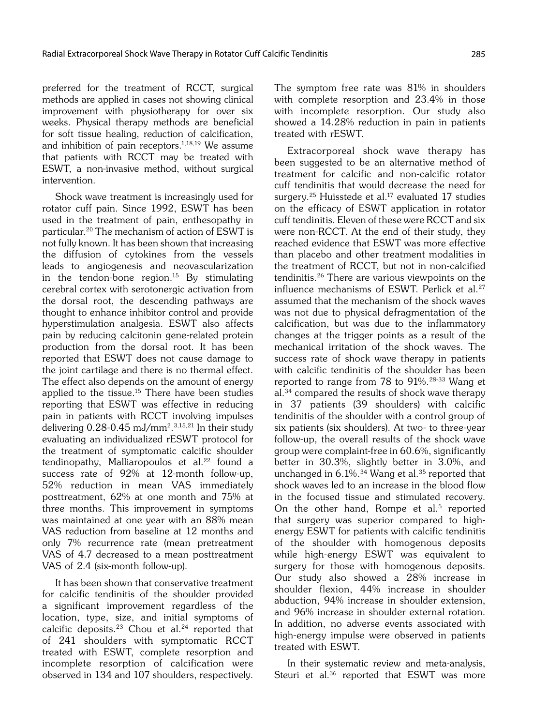preferred for the treatment of RCCT, surgical methods are applied in cases not showing clinical improvement with physiotherapy for over six weeks. Physical therapy methods are beneficial for soft tissue healing, reduction of calcification, and inhibition of pain receptors. $1,18,19$  We assume that patients with RCCT may be treated with ESWT, a non-invasive method, without surgical intervention.

Shock wave treatment is increasingly used for rotator cuff pain. Since 1992, ESWT has been used in the treatment of pain, enthesopathy in particular.20 The mechanism of action of ESWT is not fully known. It has been shown that increasing the diffusion of cytokines from the vessels leads to angiogenesis and neovascularization in the tendon-bone region.<sup>15</sup> By stimulating cerebral cortex with serotonergic activation from the dorsal root, the descending pathways are thought to enhance inhibitor control and provide hyperstimulation analgesia. ESWT also affects pain by reducing calcitonin gene-related protein production from the dorsal root. It has been reported that ESWT does not cause damage to the joint cartilage and there is no thermal effect. The effect also depends on the amount of energy applied to the tissue.15 There have been studies reporting that ESWT was effective in reducing pain in patients with RCCT involving impulses delivering 0.28-0.45 mJ/mm2. 3,15,21 In their study evaluating an individualized rESWT protocol for the treatment of symptomatic calcific shoulder tendinopathy, Malliaropoulos et al.<sup>22</sup> found a success rate of 92% at 12-month follow-up, 52% reduction in mean VAS immediately posttreatment, 62% at one month and 75% at three months. This improvement in symptoms was maintained at one year with an 88% mean VAS reduction from baseline at 12 months and only 7% recurrence rate (mean pretreatment VAS of 4.7 decreased to a mean posttreatment VAS of 2.4 (six-month follow-up).

It has been shown that conservative treatment for calcific tendinitis of the shoulder provided a significant improvement regardless of the location, type, size, and initial symptoms of calcific deposits.<sup>23</sup> Chou et al.<sup>24</sup> reported that of 241 shoulders with symptomatic RCCT treated with ESWT, complete resorption and incomplete resorption of calcification were observed in 134 and 107 shoulders, respectively. The symptom free rate was 81% in shoulders with complete resorption and 23.4% in those with incomplete resorption. Our study also showed a 14.28% reduction in pain in patients treated with rESWT.

Extracorporeal shock wave therapy has been suggested to be an alternative method of treatment for calcific and non-calcific rotator cuff tendinitis that would decrease the need for surgery.<sup>25</sup> Huisstede et al.<sup>17</sup> evaluated 17 studies on the efficacy of ESWT application in rotator cuff tendinitis. Eleven of these were RCCT and six were non-RCCT. At the end of their study, they reached evidence that ESWT was more effective than placebo and other treatment modalities in the treatment of RCCT, but not in non-calcified tendinitis.26 There are various viewpoints on the influence mechanisms of ESWT. Perlick et al.<sup>27</sup> assumed that the mechanism of the shock waves was not due to physical defragmentation of the calcification, but was due to the inflammatory changes at the trigger points as a result of the mechanical irritation of the shock waves. The success rate of shock wave therapy in patients with calcific tendinitis of the shoulder has been reported to range from 78 to 91%.28-33 Wang et al.34 compared the results of shock wave therapy in 37 patients (39 shoulders) with calcific tendinitis of the shoulder with a control group of six patients (six shoulders). At two- to three-year follow-up, the overall results of the shock wave group were complaint-free in 60.6%, significantly better in 30.3%, slightly better in 3.0%, and unchanged in  $6.1\%$ .<sup>34</sup> Wang et al.<sup>35</sup> reported that shock waves led to an increase in the blood flow in the focused tissue and stimulated recovery. On the other hand, Rompe et al.<sup>5</sup> reported that surgery was superior compared to highenergy ESWT for patients with calcific tendinitis of the shoulder with homogenous deposits while high-energy ESWT was equivalent to surgery for those with homogenous deposits. Our study also showed a 28% increase in shoulder flexion, 44% increase in shoulder abduction, 94% increase in shoulder extension, and 96% increase in shoulder external rotation. In addition, no adverse events associated with high-energy impulse were observed in patients treated with ESWT.

In their systematic review and meta-analysis, Steuri et al.<sup>36</sup> reported that ESWT was more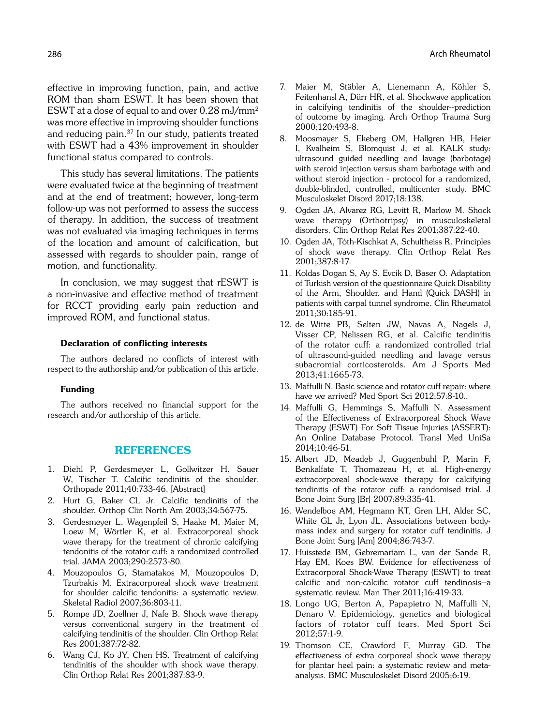effective in improving function, pain, and active ROM than sham ESWT. It has been shown that ESWT at a dose of equal to and over 0.28 mJ/mm2 was more effective in improving shoulder functions and reducing pain.<sup>37</sup> In our study, patients treated with ESWT had a 43% improvement in shoulder functional status compared to controls.

This study has several limitations. The patients were evaluated twice at the beginning of treatment and at the end of treatment; however, long-term follow-up was not performed to assess the success of therapy. In addition, the success of treatment was not evaluated via imaging techniques in terms of the location and amount of calcification, but assessed with regards to shoulder pain, range of motion, and functionality.

In conclusion, we may suggest that rESWT is a non-invasive and effective method of treatment for RCCT providing early pain reduction and improved ROM, and functional status.

#### Declaration of conflicting interests

The authors declared no conflicts of interest with respect to the authorship and/or publication of this article.

#### Funding

The authors received no financial support for the research and/or authorship of this article.

# REFERENCES

- 1. Diehl P, Gerdesmeyer L, Gollwitzer H, Sauer W, Tischer T. Calcific tendinitis of the shoulder. Orthopade 2011;40:733-46. [Abstract]
- 2. Hurt G, Baker CL Jr. Calcific tendinitis of the shoulder. Orthop Clin North Am 2003;34:567-75.
- 3. Gerdesmeyer L, Wagenpfeil S, Haake M, Maier M, Loew M, Wörtler K, et al. Extracorporeal shock wave therapy for the treatment of chronic calcifying tendonitis of the rotator cuff: a randomized controlled trial. JAMA 2003;290:2573-80.
- 4. Mouzopoulos G, Stamatakos M, Mouzopoulos D, Tzurbakis M. Extracorporeal shock wave treatment for shoulder calcific tendonitis: a systematic review. Skeletal Radiol 2007;36:803-11.
- 5. Rompe JD, Zoellner J, Nafe B. Shock wave therapy versus conventional surgery in the treatment of calcifying tendinitis of the shoulder. Clin Orthop Relat Res 2001;387:72-82.
- 6. Wang CJ, Ko JY, Chen HS. Treatment of calcifying tendinitis of the shoulder with shock wave therapy. Clin Orthop Relat Res 2001;387:83-9.
- 7. Maier M, Stäbler A, Lienemann A, Köhler S, Feitenhansl A, Dürr HR, et al. Shockwave application in calcifying tendinitis of the shoulder--prediction of outcome by imaging. Arch Orthop Trauma Surg 2000;120:493-8.
- 8. Moosmayer S, Ekeberg OM, Hallgren HB, Heier I, Kvalheim S, Blomquist J, et al. KALK study: ultrasound guided needling and lavage (barbotage) with steroid injection versus sham barbotage with and without steroid injection - protocol for a randomized, double-blinded, controlled, multicenter study. BMC Musculoskelet Disord 2017;18:138.
- 9. Ogden JA, Alvarez RG, Levitt R, Marlow M. Shock wave therapy (Orthotripsy) in musculoskeletal disorders. Clin Orthop Relat Res 2001;387:22-40.
- 10. Ogden JA, Tóth-Kischkat A, Schultheiss R. Principles of shock wave therapy. Clin Orthop Relat Res 2001;387:8-17.
- 11. Koldas Dogan S, Ay S, Evcik D, Baser O. Adaptation of Turkish version of the questionnaire Quick Disability of the Arm, Shoulder, and Hand (Quick DASH) in patients with carpal tunnel syndrome. Clin Rheumatol 2011;30:185-91.
- 12. de Witte PB, Selten JW, Navas A, Nagels J, Visser CP, Nelissen RG, et al. Calcific tendinitis of the rotator cuff: a randomized controlled trial of ultrasound-guided needling and lavage versus subacromial corticosteroids. Am J Sports Med 2013;41:1665-73.
- 13. Maffulli N. Basic science and rotator cuff repair: where have we arrived? Med Sport Sci 2012;57:8-10..
- 14. Maffulli G, Hemmings S, Maffulli N. Assessment of the Effectiveness of Extracorporeal Shock Wave Therapy (ESWT) For Soft Tissue Injuries (ASSERT): An Online Database Protocol. Transl Med UniSa 2014;10:46-51.
- 15. Albert JD, Meadeb J, Guggenbuhl P, Marin F, Benkalfate T, Thomazeau H, et al. High-energy extracorporeal shock-wave therapy for calcifying tendinitis of the rotator cuff: a randomised trial. J Bone Joint Surg [Br] 2007;89:335-41.
- 16. Wendelboe AM, Hegmann KT, Gren LH, Alder SC, White GL Jr, Lyon JL. Associations between bodymass index and surgery for rotator cuff tendinitis. J Bone Joint Surg [Am] 2004;86:743-7.
- 17. Huisstede BM, Gebremariam L, van der Sande R, Hay EM, Koes BW. Evidence for effectiveness of Extracorporal Shock-Wave Therapy (ESWT) to treat calcific and non-calcific rotator cuff tendinosis--a systematic review. Man Ther 2011;16:419-33.
- 18. Longo UG, Berton A, Papapietro N, Maffulli N, Denaro V. Epidemiology, genetics and biological factors of rotator cuff tears. Med Sport Sci 2012;57:1-9.
- 19. Thomson CE, Crawford F, Murray GD. The effectiveness of extra corporeal shock wave therapy for plantar heel pain: a systematic review and metaanalysis. BMC Musculoskelet Disord 2005;6:19.